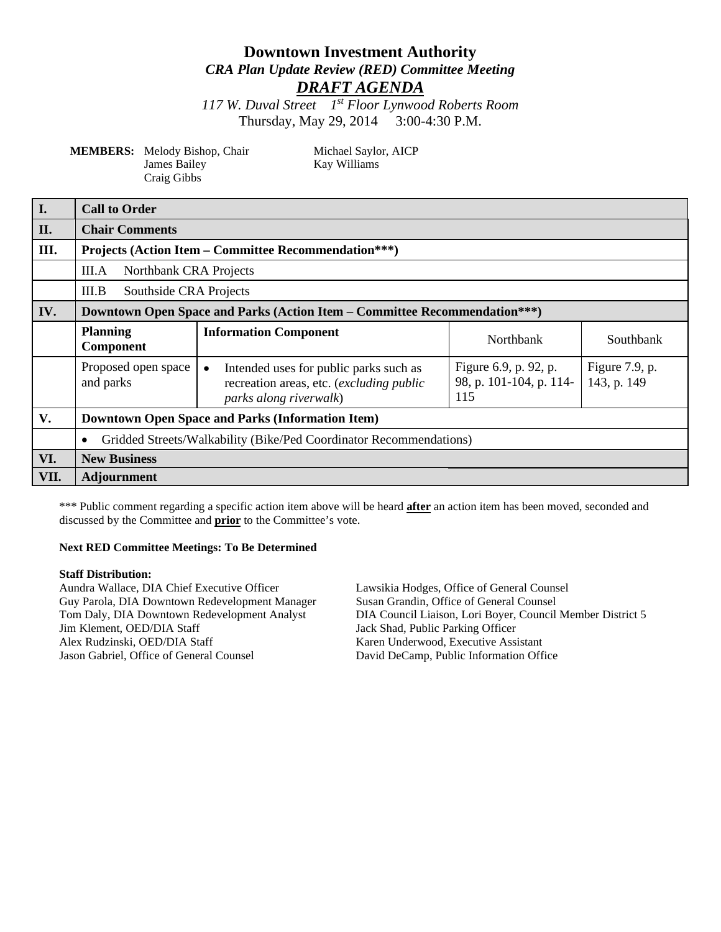# **Downtown Investment Authority** *CRA Plan Update Review (RED) Committee Meeting DRAFT AGENDA*

*117 W. Duval Street 1st Floor Lynwood Roberts Room* Thursday, May 29, 2014 3:00-4:30 P.M.

| <b>MEMBERS:</b> Melody Bishop, Chair |
|--------------------------------------|
| James Bailey                         |
| Craig Gibbs                          |

Michael Saylor, AICP Kay Williams

| $\overline{\mathbf{I}}$ . | <b>Call to Order</b>                                                             |                                                                                                                           |                                                         |                                  |  |
|---------------------------|----------------------------------------------------------------------------------|---------------------------------------------------------------------------------------------------------------------------|---------------------------------------------------------|----------------------------------|--|
| II.                       | <b>Chair Comments</b>                                                            |                                                                                                                           |                                                         |                                  |  |
| III.                      | <b>Projects (Action Item – Committee Recommendation***)</b>                      |                                                                                                                           |                                                         |                                  |  |
|                           | III.A<br>Northbank CRA Projects                                                  |                                                                                                                           |                                                         |                                  |  |
|                           | Southside CRA Projects<br>III.B                                                  |                                                                                                                           |                                                         |                                  |  |
| IV.                       | <b>Downtown Open Space and Parks (Action Item – Committee Recommendation***)</b> |                                                                                                                           |                                                         |                                  |  |
|                           | <b>Planning</b><br>Component                                                     | <b>Information Component</b>                                                                                              | Northbank                                               | Southbank                        |  |
|                           | Proposed open space<br>and parks                                                 | Intended uses for public parks such as<br>$\bullet$<br>recreation areas, etc. (excluding public<br>parks along riverwalk) | Figure 6.9, p. 92, p.<br>98, p. 101-104, p. 114-<br>115 | Figure $7.9$ , p.<br>143, p. 149 |  |
| V.                        | <b>Downtown Open Space and Parks (Information Item)</b>                          |                                                                                                                           |                                                         |                                  |  |
|                           | Gridded Streets/Walkability (Bike/Ped Coordinator Recommendations)<br>$\bullet$  |                                                                                                                           |                                                         |                                  |  |
| VI.                       | <b>New Business</b>                                                              |                                                                                                                           |                                                         |                                  |  |
| VII.                      | <b>Adjournment</b>                                                               |                                                                                                                           |                                                         |                                  |  |

\*\*\* Public comment regarding a specific action item above will be heard **after** an action item has been moved, seconded and discussed by the Committee and **prior** to the Committee's vote.

#### **Next RED Committee Meetings: To Be Determined**

#### **Staff Distribution:**

Aundra Wallace, DIA Chief Executive Officer Lawsikia Hodges, Office of General Counsel Guy Parola, DIA Downtown Redevelopment Manager Tom Daly, DIA Downtown Redevelopment Analyst DIA Council Liaison, Lori Boyer, Council Member District 5<br>Jack Shad, Public Parking Officer Jim Klement, OED/DIA Staff Jack Shad, Public Parking Officer<br>Alex Rudzinski, OED/DIA Staff Karen Underwood, Executive Assi Karen Underwood, Executive Assistant Jason Gabriel, Office of General Counsel David DeCamp, Public Information Office